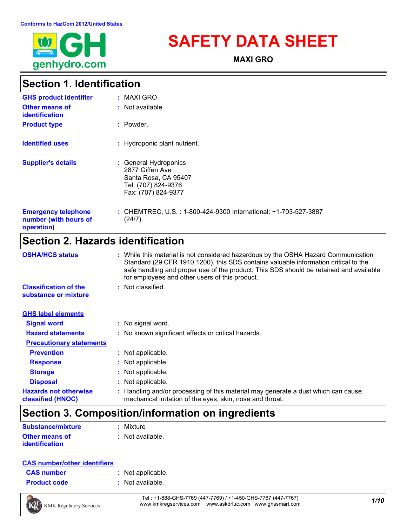

# **SAFETY DATA SHEET**

**MAXI GRO**

### **Section 1. Identification**

| <b>GHS product identifier</b>                                     | <b>MAXI GRO</b><br>÷                                                                                           |
|-------------------------------------------------------------------|----------------------------------------------------------------------------------------------------------------|
| Other means of<br>identification                                  | : Not available.                                                                                               |
| <b>Product type</b>                                               | : Powder.                                                                                                      |
| <b>Identified uses</b>                                            | : Hydroponic plant nutrient.                                                                                   |
| <b>Supplier's details</b>                                         | : General Hydroponics<br>2877 Giffen Ave<br>Santa Rosa, CA 95407<br>Tel: (707) 824-9376<br>Fax: (707) 824-9377 |
| <b>Emergency telephone</b><br>number (with hours of<br>operation) | : CHEMTREC, U.S. : 1-800-424-9300 International: +1-703-527-3887<br>(24/7)                                     |

### **Section 2. Hazards identification**

| <b>OSHA/HCS status</b>                               | : While this material is not considered hazardous by the OSHA Hazard Communication<br>Standard (29 CFR 1910.1200), this SDS contains valuable information critical to the<br>safe handling and proper use of the product. This SDS should be retained and available<br>for employees and other users of this product. |
|------------------------------------------------------|-----------------------------------------------------------------------------------------------------------------------------------------------------------------------------------------------------------------------------------------------------------------------------------------------------------------------|
| <b>Classification of the</b><br>substance or mixture | : Not classified.                                                                                                                                                                                                                                                                                                     |
| <b>GHS label elements</b>                            |                                                                                                                                                                                                                                                                                                                       |
| <b>Signal word</b>                                   | : No signal word.                                                                                                                                                                                                                                                                                                     |
| <b>Hazard statements</b>                             | : No known significant effects or critical hazards.                                                                                                                                                                                                                                                                   |
| <b>Precautionary statements</b>                      |                                                                                                                                                                                                                                                                                                                       |
| <b>Prevention</b>                                    | : Not applicable.                                                                                                                                                                                                                                                                                                     |
| <b>Response</b>                                      | : Not applicable.                                                                                                                                                                                                                                                                                                     |
| <b>Storage</b>                                       | : Not applicable.                                                                                                                                                                                                                                                                                                     |
| <b>Disposal</b>                                      | : Not applicable.                                                                                                                                                                                                                                                                                                     |
| <b>Hazards not otherwise</b><br>classified (HNOC)    | : Handling and/or processing of this material may generate a dust which can cause<br>mechanical irritation of the eyes, skin, nose and throat.                                                                                                                                                                        |

### **Section 3. Composition/information on ingredients**

| <b>Substance/mixture</b> | : Mixture        |
|--------------------------|------------------|
| <b>Other means of</b>    | : Not available. |
| <i>identification</i>    |                  |

| <b>CAS number/other identifiers</b> |
|-------------------------------------|
|-------------------------------------|

| <b>CAS</b> number   | : Not applicable. |
|---------------------|-------------------|
| <b>Product code</b> | : Not available.  |

*1/10* Tel : +1-888-GHS-7769 (447-7769) / +1-450-GHS-7767 (447-7767) www.kmkregservices.com www.askdrluc.com www.ghssmart.com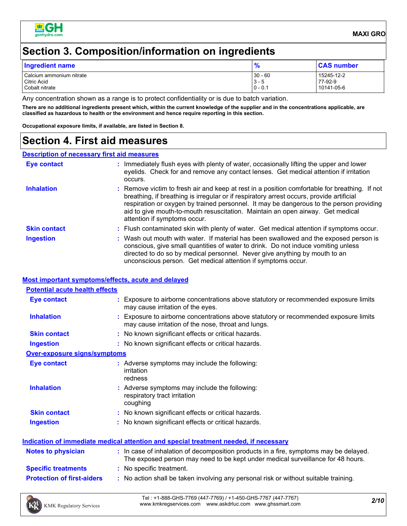

### **Section 3. Composition/information on ingredients**

| Ingredient name          | 0          | <b>CAS number</b> |
|--------------------------|------------|-------------------|
| Calcium ammonium nitrate | $30 - 60$  | 15245-12-2        |
| Citric Acid              | 13 - 5     | 77-92-9           |
| Cobalt nitrate           | $10 - 0.1$ | 10141-05-6        |

Any concentration shown as a range is to protect confidentiality or is due to batch variation.

**There are no additional ingredients present which, within the current knowledge of the supplier and in the concentrations applicable, are classified as hazardous to health or the environment and hence require reporting in this section.**

**Occupational exposure limits, if available, are listed in Section 8.**

### **Section 4. First aid measures**

#### **Description of necessary first aid measures**

| <b>Eye contact</b>  | : Immediately flush eyes with plenty of water, occasionally lifting the upper and lower<br>eyelids. Check for and remove any contact lenses. Get medical attention if irritation<br>occurs.                                                                                                                                                                                                            |
|---------------------|--------------------------------------------------------------------------------------------------------------------------------------------------------------------------------------------------------------------------------------------------------------------------------------------------------------------------------------------------------------------------------------------------------|
| <b>Inhalation</b>   | : Remove victim to fresh air and keep at rest in a position comfortable for breathing. If not<br>breathing, if breathing is irregular or if respiratory arrest occurs, provide artificial<br>respiration or oxygen by trained personnel. It may be dangerous to the person providing<br>aid to give mouth-to-mouth resuscitation. Maintain an open airway. Get medical<br>attention if symptoms occur. |
| <b>Skin contact</b> | : Flush contaminated skin with plenty of water. Get medical attention if symptoms occur.                                                                                                                                                                                                                                                                                                               |
| <b>Ingestion</b>    | : Wash out mouth with water. If material has been swallowed and the exposed person is<br>conscious, give small quantities of water to drink. Do not induce vomiting unless<br>directed to do so by medical personnel. Never give anything by mouth to an<br>unconscious person. Get medical attention if symptoms occur.                                                                               |

#### **Most important symptoms/effects, acute and delayed**

| <b>Potential acute health effects</b>                                                |                                                                                                                                                                          |  |  |
|--------------------------------------------------------------------------------------|--------------------------------------------------------------------------------------------------------------------------------------------------------------------------|--|--|
| <b>Eye contact</b>                                                                   | : Exposure to airborne concentrations above statutory or recommended exposure limits<br>may cause irritation of the eyes.                                                |  |  |
| <b>Inhalation</b>                                                                    | : Exposure to airborne concentrations above statutory or recommended exposure limits<br>may cause irritation of the nose, throat and lungs.                              |  |  |
| <b>Skin contact</b>                                                                  | : No known significant effects or critical hazards.                                                                                                                      |  |  |
| <b>Ingestion</b>                                                                     | : No known significant effects or critical hazards.                                                                                                                      |  |  |
| <b>Over-exposure signs/symptoms</b>                                                  |                                                                                                                                                                          |  |  |
| <b>Eye contact</b>                                                                   | : Adverse symptoms may include the following:<br>irritation<br>redness                                                                                                   |  |  |
| <b>Inhalation</b>                                                                    | : Adverse symptoms may include the following:<br>respiratory tract irritation<br>coughing                                                                                |  |  |
| <b>Skin contact</b>                                                                  | : No known significant effects or critical hazards.                                                                                                                      |  |  |
| <b>Ingestion</b>                                                                     | : No known significant effects or critical hazards.                                                                                                                      |  |  |
| Indication of immediate medical attention and special treatment needed, if necessary |                                                                                                                                                                          |  |  |
| <b>Notes to physician</b>                                                            | : In case of inhalation of decomposition products in a fire, symptoms may be delayed.<br>The exposed person may need to be kept under medical surveillance for 48 hours. |  |  |
| <b>Specific treatments</b>                                                           | : No specific treatment.                                                                                                                                                 |  |  |
| <b>Protection of first-aiders</b>                                                    | : No action shall be taken involving any personal risk or without suitable training.                                                                                     |  |  |

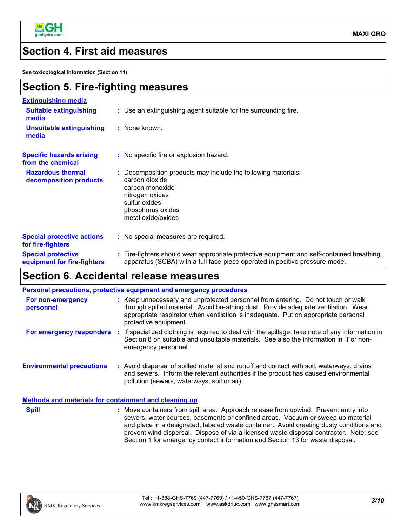

**MAXI GRO**

### **Section 4. First aid measures**

**See toxicological information (Section 11)**

| <b>Section 5. Fire-fighting measures</b> |  |
|------------------------------------------|--|
|------------------------------------------|--|

| <b>Extinguishing media</b>                               |                                                                                                                                                                                   |
|----------------------------------------------------------|-----------------------------------------------------------------------------------------------------------------------------------------------------------------------------------|
| <b>Suitable extinguishing</b><br>media                   | : Use an extinguishing agent suitable for the surrounding fire.                                                                                                                   |
| <b>Unsuitable extinguishing</b><br>media                 | : None known.                                                                                                                                                                     |
| <b>Specific hazards arising</b><br>from the chemical     | : No specific fire or explosion hazard.                                                                                                                                           |
| <b>Hazardous thermal</b><br>decomposition products       | : Decomposition products may include the following materials:<br>carbon dioxide<br>carbon monoxide<br>nitrogen oxides<br>sulfur oxides<br>phosphorus oxides<br>metal oxide/oxides |
| <b>Special protective actions</b><br>for fire-fighters   | : No special measures are required.                                                                                                                                               |
| <b>Special protective</b><br>equipment for fire-fighters | : Fire-fighters should wear appropriate protective equipment and self-contained breathing<br>apparatus (SCBA) with a full face-piece operated in positive pressure mode.          |

### **Section 6. Accidental release measures**

|                                                              | <b>Personal precautions, protective equipment and emergency procedures</b>                                                                                                                                                                                                                                                                                  |
|--------------------------------------------------------------|-------------------------------------------------------------------------------------------------------------------------------------------------------------------------------------------------------------------------------------------------------------------------------------------------------------------------------------------------------------|
| For non-emergency<br>personnel                               | : Keep unnecessary and unprotected personnel from entering. Do not touch or walk<br>through spilled material. Avoid breathing dust. Provide adequate ventilation. Wear<br>appropriate respirator when ventilation is inadequate. Put on appropriate personal<br>protective equipment.                                                                       |
| For emergency responders :                                   | If specialized clothing is required to deal with the spillage, take note of any information in<br>Section 8 on suitable and unsuitable materials. See also the information in "For non-<br>emergency personnel".                                                                                                                                            |
| <b>Environmental precautions</b>                             | : Avoid dispersal of spilled material and runoff and contact with soil, waterways, drains<br>and sewers. Inform the relevant authorities if the product has caused environmental<br>pollution (sewers, waterways, soil or air).                                                                                                                             |
| <b>Methods and materials for containment and cleaning up</b> |                                                                                                                                                                                                                                                                                                                                                             |
| <b>Spill</b>                                                 | : Move containers from spill area. Approach release from upwind. Prevent entry into<br>sewers, water courses, basements or confined areas. Vacuum or sweep up material<br>and place in a designated, labeled waste container. Avoid creating dusty conditions and<br>prevent wind dispersal. Dispose of via a licensed waste disposal contractor. Note: see |



Section 1 for emergency contact information and Section 13 for waste disposal.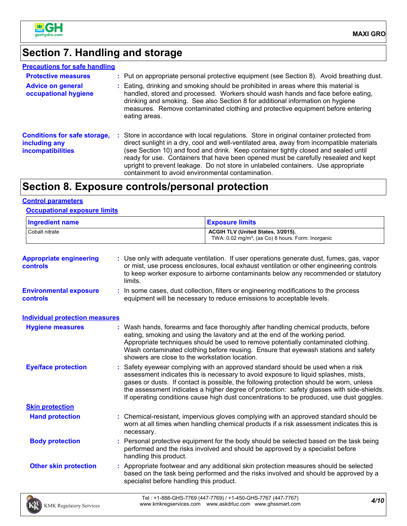

## **Section 7. Handling and storage**

| <b>Precautions for safe handling</b>                                      |                                                                                                                                                                                                                                                                                                                                                                                                                                                                                                               |
|---------------------------------------------------------------------------|---------------------------------------------------------------------------------------------------------------------------------------------------------------------------------------------------------------------------------------------------------------------------------------------------------------------------------------------------------------------------------------------------------------------------------------------------------------------------------------------------------------|
| <b>Protective measures</b>                                                | : Put on appropriate personal protective equipment (see Section 8). Avoid breathing dust.                                                                                                                                                                                                                                                                                                                                                                                                                     |
| <b>Advice on general</b><br>occupational hygiene                          | : Eating, drinking and smoking should be prohibited in areas where this material is<br>handled, stored and processed. Workers should wash hands and face before eating,<br>drinking and smoking. See also Section 8 for additional information on hygiene<br>measures. Remove contaminated clothing and protective equipment before entering<br>eating areas.                                                                                                                                                 |
| <b>Conditions for safe storage,</b><br>including any<br>incompatibilities | : Store in accordance with local regulations. Store in original container protected from<br>direct sunlight in a dry, cool and well-ventilated area, away from incompatible materials<br>(see Section 10) and food and drink. Keep container tightly closed and sealed until<br>ready for use. Containers that have been opened must be carefully resealed and kept<br>upright to prevent leakage. Do not store in unlabeled containers. Use appropriate<br>containment to avoid environmental contamination. |

## **Section 8. Exposure controls/personal protection**

#### **Control parameters**

| <b>Ingredient name</b><br>Cobalt nitrate  |                                                | <b>Exposure limits</b><br>ACGIH TLV (United States, 3/2015).<br>TWA: 0.02 mg/m <sup>3</sup> , (as Co) 8 hours. Form: Inorganic                                                                                                                                                                                                                                                                                                                             |  |  |                                            |
|-------------------------------------------|------------------------------------------------|------------------------------------------------------------------------------------------------------------------------------------------------------------------------------------------------------------------------------------------------------------------------------------------------------------------------------------------------------------------------------------------------------------------------------------------------------------|--|--|--------------------------------------------|
|                                           |                                                |                                                                                                                                                                                                                                                                                                                                                                                                                                                            |  |  | <b>Appropriate engineering</b><br>controls |
| <b>Environmental exposure</b><br>controls |                                                | : In some cases, dust collection, filters or engineering modifications to the process<br>equipment will be necessary to reduce emissions to acceptable levels.                                                                                                                                                                                                                                                                                             |  |  |                                            |
| <b>Individual protection measures</b>     |                                                |                                                                                                                                                                                                                                                                                                                                                                                                                                                            |  |  |                                            |
| <b>Hygiene measures</b>                   | showers are close to the workstation location. | : Wash hands, forearms and face thoroughly after handling chemical products, before<br>eating, smoking and using the lavatory and at the end of the working period.<br>Appropriate techniques should be used to remove potentially contaminated clothing.<br>Wash contaminated clothing before reusing. Ensure that eyewash stations and safety                                                                                                            |  |  |                                            |
| <b>Eye/face protection</b>                |                                                | : Safety eyewear complying with an approved standard should be used when a risk<br>assessment indicates this is necessary to avoid exposure to liquid splashes, mists,<br>gases or dusts. If contact is possible, the following protection should be worn, unless<br>the assessment indicates a higher degree of protection: safety glasses with side-shields.<br>If operating conditions cause high dust concentrations to be produced, use dust goggles. |  |  |                                            |
| <b>Skin protection</b>                    |                                                |                                                                                                                                                                                                                                                                                                                                                                                                                                                            |  |  |                                            |
| <b>Hand protection</b>                    | necessary.                                     | : Chemical-resistant, impervious gloves complying with an approved standard should be<br>worn at all times when handling chemical products if a risk assessment indicates this is                                                                                                                                                                                                                                                                          |  |  |                                            |
| <b>Body protection</b>                    | handling this product.                         | Personal protective equipment for the body should be selected based on the task being<br>performed and the risks involved and should be approved by a specialist before                                                                                                                                                                                                                                                                                    |  |  |                                            |
| <b>Other skin protection</b>              | specialist before handling this product.       | : Appropriate footwear and any additional skin protection measures should be selected<br>based on the task being performed and the risks involved and should be approved by a                                                                                                                                                                                                                                                                              |  |  |                                            |
| <b>KMK Regulatory Services</b>            |                                                | Tel: +1-888-GHS-7769 (447-7769) / +1-450-GHS-7767 (447-7767)<br>4/10<br>www.kmkregservices.com www.askdrluc.com www.ghssmart.com                                                                                                                                                                                                                                                                                                                           |  |  |                                            |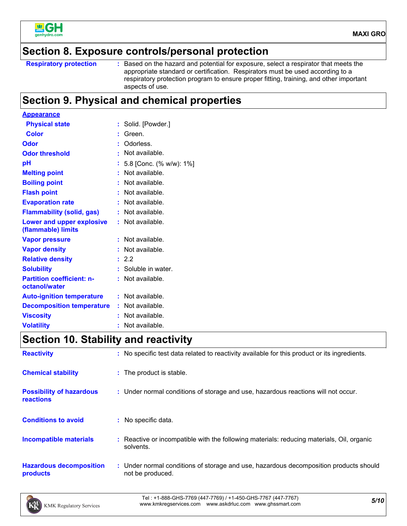

### **Section 8. Exposure controls/personal protection**

```
Respiratory protection :
```
: Based on the hazard and potential for exposure, select a respirator that meets the appropriate standard or certification. Respirators must be used according to a respiratory protection program to ensure proper fitting, training, and other important aspects of use.

### **Section 9. Physical and chemical properties**

| <b>Appearance</b>                                      |    |                         |
|--------------------------------------------------------|----|-------------------------|
| <b>Physical state</b>                                  | ÷. | Solid. [Powder.]        |
| Color                                                  |    | Green.                  |
| Odor                                                   |    | Odorless.               |
| <b>Odor threshold</b>                                  |    | Not available.          |
| рH                                                     |    | 5.8 [Conc. (% w/w): 1%] |
| <b>Melting point</b>                                   |    | Not available.          |
| <b>Boiling point</b>                                   | ÷. | Not available.          |
| <b>Flash point</b>                                     |    | Not available.          |
| <b>Evaporation rate</b>                                |    | Not available.          |
| <b>Flammability (solid, gas)</b>                       | t. | Not available.          |
| <b>Lower and upper explosive</b><br>(flammable) limits | ÷. | Not available.          |
| <b>Vapor pressure</b>                                  |    | Not available.          |
| <b>Vapor density</b>                                   |    | Not available.          |
| <b>Relative density</b>                                | ÷. | 2.2                     |
| <b>Solubility</b>                                      |    | Soluble in water.       |
| <b>Partition coefficient: n-</b><br>octanol/water      | t. | Not available.          |
| <b>Auto-ignition temperature</b>                       |    | : Not available.        |
| <b>Decomposition temperature</b>                       |    | : Not available.        |
| <b>Viscosity</b>                                       |    | Not available.          |
| <b>Volatility</b>                                      |    | Not available.          |

### **Section 10. Stability and reactivity**

| <b>Reactivity</b>                            | : No specific test data related to reactivity available for this product or its ingredients.              |
|----------------------------------------------|-----------------------------------------------------------------------------------------------------------|
| <b>Chemical stability</b>                    | : The product is stable.                                                                                  |
| <b>Possibility of hazardous</b><br>reactions | : Under normal conditions of storage and use, hazardous reactions will not occur.                         |
| <b>Conditions to avoid</b>                   | : No specific data.                                                                                       |
| <b>Incompatible materials</b>                | : Reactive or incompatible with the following materials: reducing materials, Oil, organic<br>solvents.    |
| <b>Hazardous decomposition</b><br>products   | : Under normal conditions of storage and use, hazardous decomposition products should<br>not be produced. |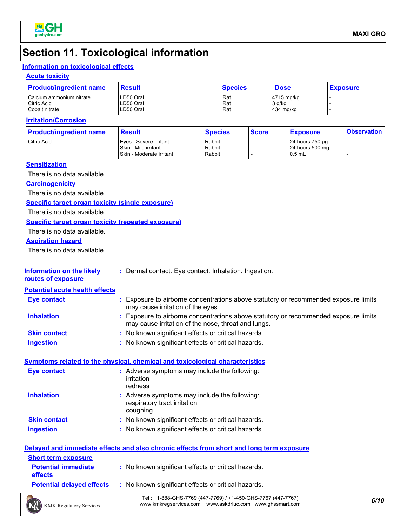

### **Section 11. Toxicological information**

### **Information on toxicological effects**

#### **Acute toxicity**

| <b>Product/ingredient name</b> | <b>Result</b> | <b>Species</b> | <b>Dose</b> | <b>Exposure</b> |
|--------------------------------|---------------|----------------|-------------|-----------------|
| Calcium ammonium nitrate       | LD50 Oral     | Rat            | 4715 mg/kg  |                 |
| Citric Acid                    | LD50 Oral     | Rat            | 3 g/kg      |                 |
| Cobalt nitrate                 | LD50 Oral     | Rat            | 434 mg/kg   |                 |

#### **Irritation/Corrosion**

| <b>Product/ingredient name</b> | <b>Result</b>                                                                | <b>Species</b>             | <b>Score</b> | <b>Exposure</b>                                 | <b>Observation</b> |
|--------------------------------|------------------------------------------------------------------------------|----------------------------|--------------|-------------------------------------------------|--------------------|
| Citric Acid                    | Eyes - Severe irritant<br>I Skin - Mild irritant<br>Skin - Moderate irritant | Rabbit<br>Rabbit<br>Rabbit |              | 24 hours 750 µg<br>24 hours 500 mg<br>$10.5$ mL |                    |

#### **Sensitization**

There is no data available.

#### **Carcinogenicity**

There is no data available.

#### **Specific target organ toxicity (single exposure)**

There is no data available.

#### **Specific target organ toxicity (repeated exposure)**

There is no data available.

#### **Aspiration hazard**

There is no data available.

| <b>Information on the likely</b> | * Dermal contact. Eye contact. Inhalation. Ingestion. |  |
|----------------------------------|-------------------------------------------------------|--|
|                                  |                                                       |  |

**routes of exposure**

#### **Potential acute health effects**

| <b>Eye contact</b>  | Exposure to airborne concentrations above statutory or recommended exposure limits<br>may cause irritation of the eyes.                   |
|---------------------|-------------------------------------------------------------------------------------------------------------------------------------------|
| <b>Inhalation</b>   | Exposure to airborne concentrations above statutory or recommended exposure limits<br>may cause irritation of the nose, throat and lungs. |
| <b>Skin contact</b> | : No known significant effects or critical hazards.                                                                                       |
| <b>Ingestion</b>    | : No known significant effects or critical hazards.                                                                                       |

#### **Symptoms related to the physical, chemical and toxicological characteristics**

| <b>Eye contact</b>  | : Adverse symptoms may include the following:<br>irritation<br>redness                    |
|---------------------|-------------------------------------------------------------------------------------------|
| <b>Inhalation</b>   | : Adverse symptoms may include the following:<br>respiratory tract irritation<br>coughing |
| <b>Skin contact</b> | : No known significant effects or critical hazards.                                       |
| <b>Ingestion</b>    | : No known significant effects or critical hazards.                                       |

|                                              | Delayed and immediate effects and also chronic effects from short and long term exposure |
|----------------------------------------------|------------------------------------------------------------------------------------------|
| <b>Short term exposure</b>                   |                                                                                          |
| <b>Potential immediate</b><br><b>effects</b> | : No known significant effects or critical hazards.                                      |
| <b>Potential delayed effects</b>             | : No known significant effects or critical hazards.                                      |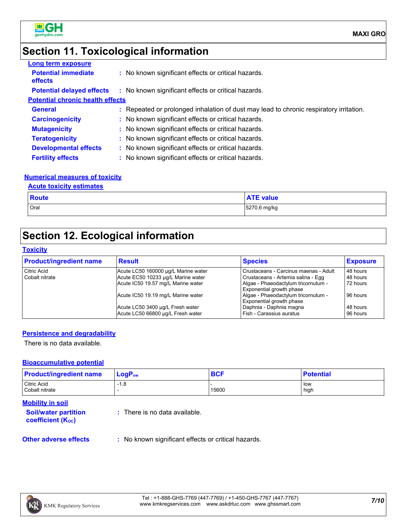

### **Section 11. Toxicological information**

| <b>Long term exposure</b>                    |                                                                                        |
|----------------------------------------------|----------------------------------------------------------------------------------------|
| <b>Potential immediate</b><br><b>effects</b> | : No known significant effects or critical hazards.                                    |
| <b>Potential delayed effects</b>             | : No known significant effects or critical hazards.                                    |
| <b>Potential chronic health effects</b>      |                                                                                        |
| <b>General</b>                               | : Repeated or prolonged inhalation of dust may lead to chronic respiratory irritation. |
| <b>Carcinogenicity</b>                       | : No known significant effects or critical hazards.                                    |
| <b>Mutagenicity</b>                          | : No known significant effects or critical hazards.                                    |
| <b>Teratogenicity</b>                        | : No known significant effects or critical hazards.                                    |
| <b>Developmental effects</b>                 | : No known significant effects or critical hazards.                                    |
| <b>Fertility effects</b>                     | : No known significant effects or critical hazards.                                    |

#### **Numerical measures of toxicity**

#### **Acute toxicity estimates**

| <b>Route</b> | --<br><b>value</b> |
|--------------|--------------------|
| Oral         | 5270.6 mg/kg       |

### **Section 12. Ecological information**

#### **Toxicity**

| <b>Product/ingredient name</b> | <b>Result</b>                       | <b>Species</b>                        | <b>Exposure</b> |
|--------------------------------|-------------------------------------|---------------------------------------|-----------------|
| Citric Acid                    | Acute LC50 160000 µg/L Marine water | Crustaceans - Carcinus maenas - Adult | 48 hours        |
| Cobalt nitrate                 | Acute EC50 10233 µg/L Marine water  | Crustaceans - Artemia salina - Egg    | 48 hours        |
|                                | Acute IC50 19.57 mg/L Marine water  | Algae - Phaeodactylum tricornutum -   | 72 hours        |
|                                |                                     | <b>Exponential growth phase</b>       |                 |
|                                | Acute IC50 19.19 mg/L Marine water  | Algae - Phaeodactylum tricornutum -   | 96 hours        |
|                                |                                     | Exponential growth phase              |                 |
|                                | Acute LC50 3400 µg/L Fresh water    | Daphnia - Daphnia magna               | 48 hours        |
|                                | Acute LC50 66800 ug/L Fresh water   | l Fish - Carassius auratus            | 96 hours        |

#### **Persistence and degradability**

There is no data available.

#### **Bioaccumulative potential**

| <b>Product/ingredient name</b> | $LogP_{ow}$ | <b>BCF</b> | <b>Potential</b>     |
|--------------------------------|-------------|------------|----------------------|
| Citric Acid<br>Cobalt nitrate  | $-1.8$      | 15600      | <b>I</b> low<br>high |

#### **Mobility in soil**

**Soil/water partition coefficient (KOC)**

**:** There is no data available.

**Other adverse effects** : No known significant effects or critical hazards.

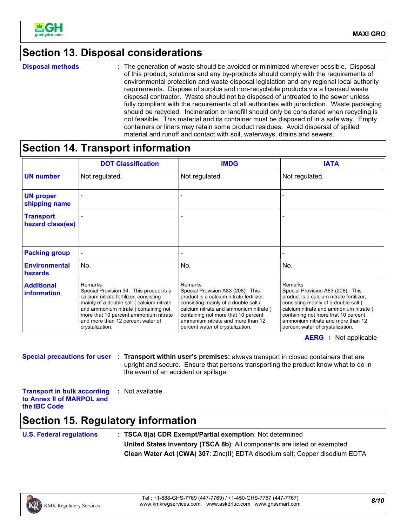

### **Section 13. Disposal considerations**

**Disposal methods :**

The generation of waste should be avoided or minimized wherever possible. Disposal of this product, solutions and any by-products should comply with the requirements of environmental protection and waste disposal legislation and any regional local authority requirements. Dispose of surplus and non-recyclable products via a licensed waste disposal contractor. Waste should not be disposed of untreated to the sewer unless fully compliant with the requirements of all authorities with jurisdiction. Waste packaging should be recycled. Incineration or landfill should only be considered when recycling is not feasible. This material and its container must be disposed of in a safe way. Empty containers or liners may retain some product residues. Avoid dispersal of spilled material and runoff and contact with soil, waterways, drains and sewers.

### **Section 14. Transport information**

|                                         | <b>DOT Classification</b>                                                                                                                                                                                                                                                         | <b>IMDG</b>                                                                                                                                                                                                                                                                               | <b>IATA</b>                                                                                                                                                                                                                                                                               |
|-----------------------------------------|-----------------------------------------------------------------------------------------------------------------------------------------------------------------------------------------------------------------------------------------------------------------------------------|-------------------------------------------------------------------------------------------------------------------------------------------------------------------------------------------------------------------------------------------------------------------------------------------|-------------------------------------------------------------------------------------------------------------------------------------------------------------------------------------------------------------------------------------------------------------------------------------------|
| <b>UN number</b>                        | Not regulated.                                                                                                                                                                                                                                                                    | Not regulated.                                                                                                                                                                                                                                                                            | Not regulated.                                                                                                                                                                                                                                                                            |
| <b>UN proper</b><br>shipping name       |                                                                                                                                                                                                                                                                                   |                                                                                                                                                                                                                                                                                           |                                                                                                                                                                                                                                                                                           |
| <b>Transport</b><br>hazard class(es)    |                                                                                                                                                                                                                                                                                   |                                                                                                                                                                                                                                                                                           |                                                                                                                                                                                                                                                                                           |
| <b>Packing group</b>                    |                                                                                                                                                                                                                                                                                   |                                                                                                                                                                                                                                                                                           |                                                                                                                                                                                                                                                                                           |
| <b>Environmental</b><br>hazards         | No.                                                                                                                                                                                                                                                                               | No.                                                                                                                                                                                                                                                                                       | No.                                                                                                                                                                                                                                                                                       |
| <b>Additional</b><br><b>information</b> | Remarks<br>Special Provision 34: This product is a<br>calcium nitrate fertilizer, consisting<br>mainly of a double salt (calcium nitrate<br>and ammonium nitrate) containing not<br>more that 10 percent ammonium nitrate<br>and more than 12 percent water of<br>crystalization. | Remarks<br>Special Provision A83 (208): This<br>product is a calcium nitrate fertilizer,<br>consisting mainly of a double salt (<br>calcium nitrate and ammonium nitrate)<br>containing not more that 10 percent<br>ammonium nitrate and more than 12<br>percent water of crystalization. | Remarks<br>Special Provision A83 (208): This<br>product is a calcium nitrate fertilizer.<br>consisting mainly of a double salt (<br>calcium nitrate and ammonium nitrate)<br>containing not more that 10 percent<br>ammonium nitrate and more than 12<br>percent water of crystalization. |

**AERG :** Not applicable

**Special precautions for user Transport within user's premises:** always transport in closed containers that are **:** upright and secure. Ensure that persons transporting the product know what to do in the event of an accident or spillage.

**Transport in bulk according to Annex II of MARPOL and the IBC Code :** Not available.

### **Section 15. Regulatory information**

**U.S. Federal regulations : TSCA 8(a) CDR Exempt/Partial exemption**: Not determined **United States inventory (TSCA 8b)**: All components are listed or exempted. **Clean Water Act (CWA) 307**: Zinc(II) EDTA disodium salt; Copper disodium EDTA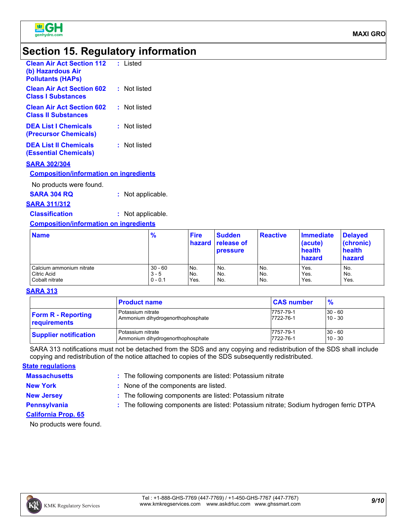

### **Section 15. Regulatory information**

| <b>Clean Air Act Section 112</b><br>(b) Hazardous Air<br><b>Pollutants (HAPs)</b> | : Listed     |
|-----------------------------------------------------------------------------------|--------------|
| <b>Clean Air Act Section 602</b><br><b>Class I Substances</b>                     | : Not listed |
| <b>Clean Air Act Section 602</b><br><b>Class II Substances</b>                    | : Not listed |
| <b>DEA List I Chemicals</b><br>(Precursor Chemicals)                              | : Not listed |
| <b>DEA List II Chemicals</b><br><b>(Essential Chemicals)</b>                      | : Not listed |
| <b>SARA 302/304</b><br><b>Composition/information on ingredients</b>              |              |

No products were found.

**SARA 304 RQ :** Not applicable.

#### **SARA 311/312**

**Classification :** Not applicable.

#### **Composition/information on ingredients**

| <b>Name</b>              | $\frac{9}{6}$ | <b>Fire</b> | <b>Sudden</b><br><b>hazard</b> release of<br><b>pressure</b> | <b>Reactive</b> | Immediate<br>(acute)<br>health<br>hazard | <b>Delayed</b><br>(chronic)<br>health<br>hazard |
|--------------------------|---------------|-------------|--------------------------------------------------------------|-----------------|------------------------------------------|-------------------------------------------------|
| Calcium ammonium nitrate | $30 - 60$     | No.         | No.                                                          | No.             | Yes.                                     | No.                                             |
| Citric Acid              | $3 - 5$       | No.         | No.                                                          | No.             | Yes.                                     | No.                                             |
| Cobalt nitrate           | $0 - 0.1$     | Yes.        | No.                                                          | No.             | Yes.                                     | Yes.                                            |

#### **SARA 313**

|                              | <b>Product name</b>               | <b>CAS number</b> | $\frac{9}{6}$ |
|------------------------------|-----------------------------------|-------------------|---------------|
| <b>Form R - Reporting</b>    | Potassium nitrate                 | 7757-79-1         | $30 - 60$     |
| requirements                 | Ammonium dihydrogenorthophosphate | 7722-76-1         | $10 - 30$     |
| <b>Supplier notification</b> | Potassium nitrate                 | 7757-79-1         | $30 - 60$     |
|                              | Ammonium dihydrogenorthophosphate | 7722-76-1         | $10 - 30$     |

SARA 313 notifications must not be detached from the SDS and any copying and redistribution of the SDS shall include copying and redistribution of the notice attached to copies of the SDS subsequently redistributed.

#### **State regulations**

**Massachusetts :**

: The following components are listed: Potassium nitrate

**New York :** None of the components are listed.

**New Jersey :** The following components are listed: Potassium nitrate **Pennsylvania :** The following components are listed: Potassium nitrate; Sodium hydrogen ferric DTPA

- 
- **California Prop. 65**

No products were found.